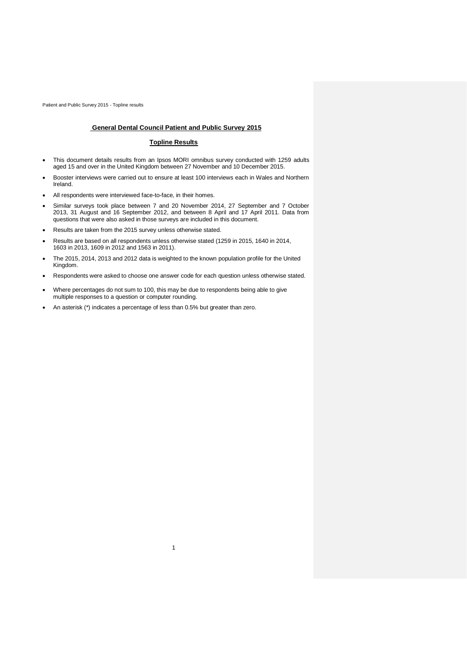## **General Dental Council Patient and Public Survey 2015**

### **Topline Results**

- This document details results from an Ipsos MORI omnibus survey conducted with 1259 adults aged 15 and over in the United Kingdom between 27 November and 10 December 2015.
- Booster interviews were carried out to ensure at least 100 interviews each in Wales and Northern Ireland.
- All respondents were interviewed face-to-face, in their homes.
- Similar surveys took place between 7 and 20 November 2014, 27 September and 7 October 2013, 31 August and 16 September 2012, and between 8 April and 17 April 2011. Data from questions that were also asked in those surveys are included in this document.
- Results are taken from the 2015 survey unless otherwise stated.
- Results are based on all respondents unless otherwise stated (1259 in 2015, 1640 in 2014, 1603 in 2013, 1609 in 2012 and 1563 in 2011).
- The 2015, 2014, 2013 and 2012 data is weighted to the known population profile for the United Kingdom.
- Respondents were asked to choose one answer code for each question unless otherwise stated.

1

- Where percentages do not sum to 100, this may be due to respondents being able to give multiple responses to a question or computer rounding.
- An asterisk (\*) indicates a percentage of less than 0.5% but greater than zero.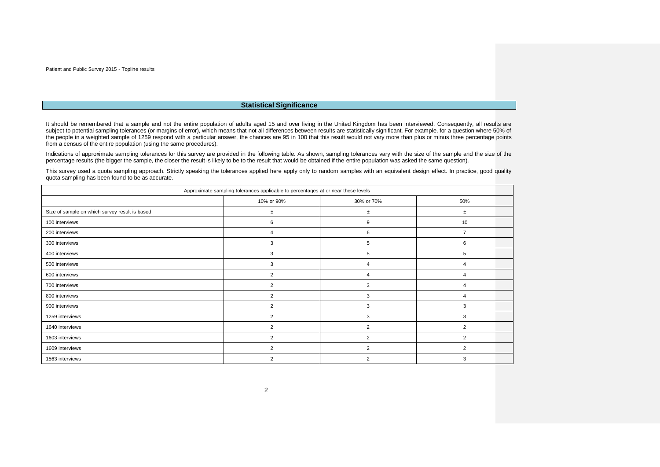### **Statistical Significance**

It should be remembered that a sample and not the entire population of adults aged 15 and over living in the United Kingdom has been interviewed. Consequently, all results are subject to potential sampling tolerances (or margins of error), which means that not all differences between results are statistically significant. For example, for a question where 50% of the people in a weighted sample of 1259 respond with a particular answer, the chances are 95 in 100 that this result would not vary more than plus or minus three percentage points from a census of the entire population (using the same procedures).

Indications of approximate sampling tolerances for this survey are provided in the following table. As shown, sampling tolerances vary with the size of the sample and the size of the percentage results (the bigger the sample, the closer the result is likely to be to the result that would be obtained if the entire population was asked the same question).

This survey used a quota sampling approach. Strictly speaking the tolerances applied here apply only to random samples with an equivalent design effect. In practice, good quality quota sampling has been found to be as accurate.

| Approximate sampling tolerances applicable to percentages at or near these levels |                |                |                |  |  |  |
|-----------------------------------------------------------------------------------|----------------|----------------|----------------|--|--|--|
|                                                                                   | 10% or 90%     | 30% or 70%     | 50%            |  |  |  |
| Size of sample on which survey result is based                                    | $\pm$          | ±.             | $\pm$          |  |  |  |
| 100 interviews                                                                    | 6              | 9              | 10             |  |  |  |
| 200 interviews                                                                    | $\overline{4}$ | 6              | $\overline{7}$ |  |  |  |
| 300 interviews                                                                    | 3              | 5              | 6              |  |  |  |
| 400 interviews                                                                    | 3              | 5              | 5              |  |  |  |
| 500 interviews                                                                    | 3              | 4              | 4              |  |  |  |
| 600 interviews                                                                    | $\overline{2}$ | 4              | 4              |  |  |  |
| 700 interviews                                                                    | $\overline{2}$ | 3              | 4              |  |  |  |
| 800 interviews                                                                    | $\overline{2}$ | 3              | 4              |  |  |  |
| 900 interviews                                                                    | $\overline{2}$ | 3              | 3              |  |  |  |
| 1259 interviews                                                                   | $\overline{2}$ | 3              | 3              |  |  |  |
| 1640 interviews                                                                   | $\overline{2}$ | $\overline{2}$ | $\overline{2}$ |  |  |  |
| 1603 interviews                                                                   | $\overline{2}$ | $\overline{2}$ | $\overline{2}$ |  |  |  |
| 1609 interviews                                                                   | $\overline{2}$ | $\overline{2}$ | $\overline{2}$ |  |  |  |
| 1563 interviews                                                                   | $\overline{2}$ | 2              | 3              |  |  |  |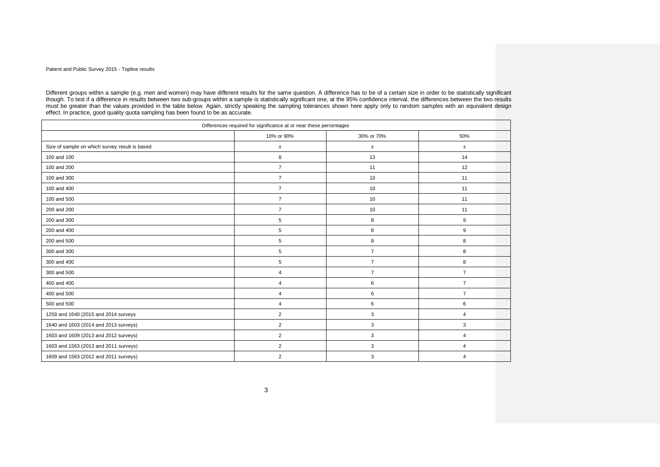Different groups within a sample (e.g. men and women) may have different results for the same question. A difference has to be of a certain size in order to be statistically significant though. To test if a difference in results between two sub-groups within a sample is statistically significant one, at the 95% confidence interval, the differences between the two results must be greater than the values provided in the table below. Again, strictly speaking the sampling tolerances shown here apply only to random samples with an equivalent design effect. In practice, good quality quota sampling has been found to be as accurate.

| Differences required for significance at or near these percentages |                |                |                |  |  |
|--------------------------------------------------------------------|----------------|----------------|----------------|--|--|
|                                                                    | 10% or 90%     | 30% or 70%     | 50%            |  |  |
| Size of sample on which survey result is based                     | $\pm$          | $\pm$          | $\pm$          |  |  |
| 100 and 100                                                        | 8              | 13             | 14             |  |  |
| 100 and 200                                                        | $\overline{7}$ | 11             | 12             |  |  |
| 100 and 300                                                        | $\overline{7}$ | 10             | 11             |  |  |
| 100 and 400                                                        | $\overline{7}$ | 10             | 11             |  |  |
| 100 and 500                                                        | $\overline{7}$ | 10             | 11             |  |  |
| 200 and 200                                                        | $\overline{7}$ | 10             | 11             |  |  |
| 200 and 300                                                        | 5              | 8              | 9              |  |  |
| 200 and 400                                                        | 5              | 8              | 9              |  |  |
| 200 and 500                                                        | 5              | 8              | 8              |  |  |
| 300 and 300                                                        | 5              | $\overline{7}$ | 8              |  |  |
| 300 and 400                                                        | 5              | $\overline{7}$ | 8              |  |  |
| 300 and 500                                                        | $\overline{4}$ | $\overline{7}$ | $\overline{7}$ |  |  |
| 400 and 400                                                        | $\overline{4}$ | 6              | $\overline{7}$ |  |  |
| 400 and 500                                                        | $\overline{4}$ | 6              | $\overline{7}$ |  |  |
| 500 and 500                                                        | 4              | 6              | 6              |  |  |
| 1259 and 1640 (2015 and 2014 surveys                               | $\overline{2}$ | 3              | $\overline{4}$ |  |  |
| 1640 and 1603 (2014 and 2013 surveys)                              | $\overline{2}$ | 3              | 3              |  |  |
| 1603 and 1609 (2013 and 2012 surveys)                              | $\overline{2}$ | 3              | 4              |  |  |
| 1603 and 1563 (2013 and 2011 surveys)                              | $\overline{2}$ | 3              | 4              |  |  |
| 1609 and 1563 (2012 and 2011 surveys)                              | $\overline{2}$ | 3              | 4              |  |  |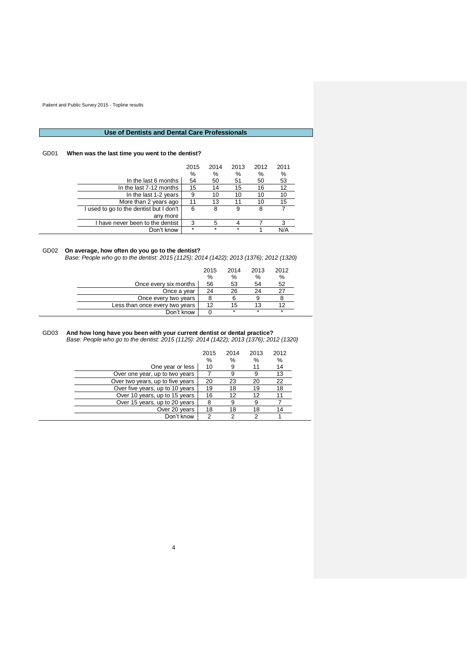# **Use of Dentists and Dental Care Professionals**

# GD01 **When was the last time you went to the dentist?**

|                                         | 2015<br>% | 2014<br>% | 2013<br>% | 2012<br>% | 2011<br>% |
|-----------------------------------------|-----------|-----------|-----------|-----------|-----------|
| In the last 6 months                    | 54        | 50        | 51        | 50        | 53        |
| In the last 7-12 months                 | 15        | 14        | 15        | 16        | 12        |
| In the last 1-2 years                   | 9         | 10        | 10        | 10        | 10        |
| More than 2 years ago                   | 11        | 13        |           | 10        | 15        |
| I used to go to the dentist but I don't | 6         | 8         | 9         | 8         |           |
| any more                                |           |           |           |           |           |
| I have never been to the dentist        | 3         | 5         |           |           | 3         |
| Don't know                              | $\star$   | $\star$   | $\star$   |           |           |

# GD02 **On average, how often do you go to the dentist?**

*Base: People who go to the dentist: 2015 (1125); 2014 (1422); 2013 (1376); 2012 (1320)*

|                                | 2015 | 2014    | 2013 | 2012 |  |
|--------------------------------|------|---------|------|------|--|
|                                | %    | %       | %    | %    |  |
| Once every six months          | 56   | 53      | 54   | 52   |  |
| Once a year                    | 24   | 26      | 24   |      |  |
| Once every two years           |      |         |      |      |  |
| Less than once every two years | 12   | 15      |      |      |  |
| Don't know                     |      | $\star$ | ÷    | *    |  |

#### GD03 **And how long have you been with your current dentist or dental practice?** *Base: People who go to the dentist: 2015 (1125): 2014 (1422); 2013 (1376); 2012 (1320)*

|                                  | 2015<br>% | 2014<br>%       | 2013<br>℅ | 2012<br>% |
|----------------------------------|-----------|-----------------|-----------|-----------|
| One year or less                 | 10        | 9               |           | 14        |
| Over one year, up to two years   |           | 9               | 9         | 13        |
| Over two years, up to five years | 20        | 23              | 20        | 22        |
| Over five years, up to 10 years  | 19        | 18              | 19        | 18        |
| Over 10 years, up to 15 years    | 16        | 12 <sup>2</sup> | 12        |           |
| Over 15 years, up to 20 years    | 8         |                 |           |           |
| Over 20 years                    | 18        | 18              | 18        | 14        |
| Don't know                       | 2         | っ               |           |           |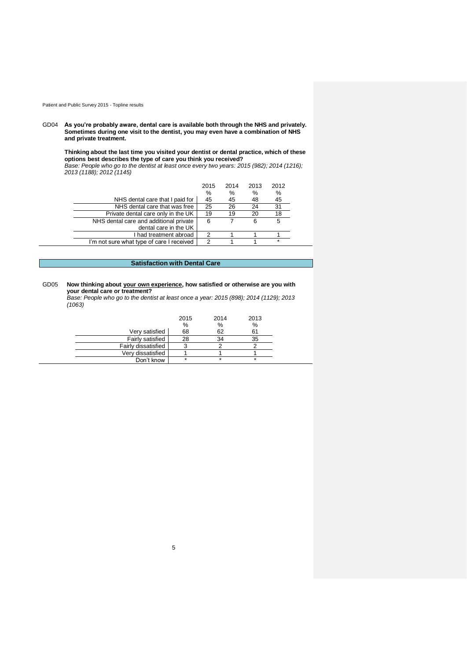GD04 **As you're probably aware, dental care is available both through the NHS and privately. Sometimes during one visit to the dentist, you may even have a combination of NHS and private treatment.**

**Thinking about the last time you visited your dentist or dental practice, which of these options best describes the type of care you think you received?** *Base: People who go to the dentist at least once every two years: 2015 (982); 2014 (1216);* 

*2013 (1188); 2012 (1145)*

|                                           |                                    | 2015 | 2014 | 2013 | 2012    |  |
|-------------------------------------------|------------------------------------|------|------|------|---------|--|
|                                           |                                    | %    | %    | %    | %       |  |
|                                           | NHS dental care that I paid for    | 45   | 45   | 48   | 45      |  |
|                                           | NHS dental care that was free      | 25   | 26   | 24   | 31      |  |
|                                           | Private dental care only in the UK | 19   | 19   | 20   | 18      |  |
| NHS dental care and additional private    |                                    | 6    |      | 6    | 5       |  |
|                                           | dental care in the UK              |      |      |      |         |  |
|                                           | I had treatment abroad             | 2    |      |      |         |  |
| I'm not sure what type of care I received |                                    | າ    |      |      | $\star$ |  |

# **Satisfaction with Dental Care**

### GD05 **Now thinking about your own experience, how satisfied or otherwise are you with your dental care or treatment?**

*Base: People who go to the dentist at least once a year: 2015 (898); 2014 (1129); 2013 (1063)*

|                     | 2015<br>% | 2014<br>% | 2013<br>% |
|---------------------|-----------|-----------|-----------|
| Very satisfied      | 68        | 62        | 61        |
| Fairly satisfied    | 28        | 34        | 35        |
| Fairly dissatisfied |           |           |           |
| Very dissatisfied   |           |           |           |
| Don't know          | $\star$   | ÷         | $\star$   |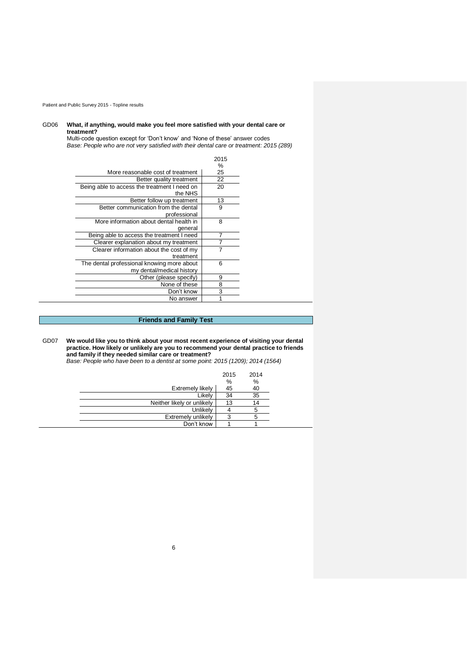## GD06 **What, if anything, would make you feel more satisfied with your dental care or treatment?**

Multi-code question except for 'Don't know' and 'None of these' answer codes *Base: People who are not very satisfied with their dental care or treatment: 2015 (289)*

|                                              | 2015 |
|----------------------------------------------|------|
|                                              | $\%$ |
| More reasonable cost of treatment            | 25   |
| Better quality treatment                     | 22   |
| Being able to access the treatment I need on | 20   |
| the NHS                                      |      |
| Better follow up treatment                   | 13   |
| Better communication from the dental         | 9    |
| professional                                 |      |
| More information about dental health in      | 8    |
| general                                      |      |
| Being able to access the treatment I need    | 7    |
| Clearer explanation about my treatment       |      |
| Clearer information about the cost of my     |      |
| treatment                                    |      |
| The dental professional knowing more about   | 6    |
| my dental/medical history                    |      |
| Other (please specify)                       | 9    |
| None of these                                | 8    |
| Don't know                                   | 3    |
| No answer                                    |      |

# **Friends and Family Test**

GD07 **We would like you to think about your most recent experience of visiting your dental practice. How likely or unlikely are you to recommend your dental practice to friends and family if they needed similar care or treatment?**

*Base: People who have been to a dentist at some point: 2015 (1209); 2014 (1564)*

|                            | 2015 | 2014 |
|----------------------------|------|------|
|                            | %    | %    |
| Extremely likely           | 45   | 40   |
| Likely                     | 34   | 35   |
| Neither likely or unlikely | 13   | 14   |
| Unlikely                   |      |      |
| Extremely unlikely         | Ω    |      |
| Don't know                 |      |      |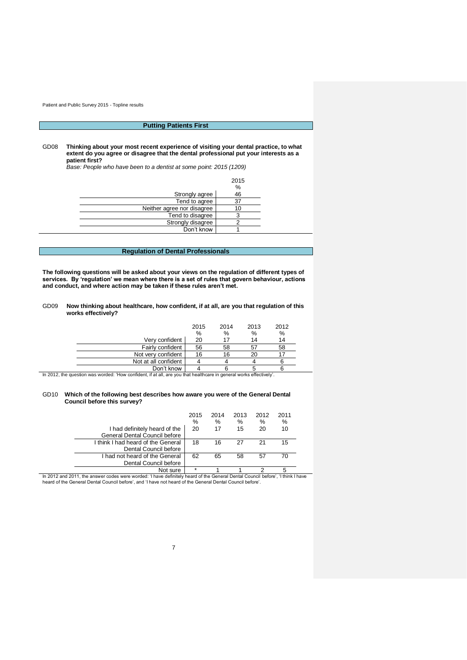# **Putting Patients First**

GD08 **Thinking about your most recent experience of visiting your dental practice, to what extent do you agree or disagree that the dental professional put your interests as a patient first?**

*Base: People who have been to a dentist at some point: 2015 (1209)*

|                            | 2015<br>$\frac{0}{0}$ |
|----------------------------|-----------------------|
| Strongly agree             | 46                    |
| Tend to agree              | 37                    |
| Neither agree nor disagree | 10                    |
| Tend to disagree           |                       |
| Strongly disagree          |                       |
| Don't know                 |                       |

# **Regulation of Dental Professionals**

**The following questions will be asked about your views on the regulation of different types of services. By 'regulation' we mean where there is a set of rules that govern behaviour, actions and conduct, and where action may be taken if these rules aren't met.**

| GD <sub>09</sub> | Now thinking about healthcare, how confident, if at all, are you that regulation of this |
|------------------|------------------------------------------------------------------------------------------|
|                  | works effectively?                                                                       |

|                                                                                                                     | 2015<br>% | 2014<br>$\%$ | 2013<br>% | 2012<br>$\%$ |
|---------------------------------------------------------------------------------------------------------------------|-----------|--------------|-----------|--------------|
| Verv confident                                                                                                      | 20        |              | 14        | 14           |
| Fairly confident                                                                                                    | 56        | 58           | 57        | 58           |
| Not very confident                                                                                                  | 16        | 16           | 20        |              |
| Not at all confident                                                                                                |           |              |           |              |
| Don't know                                                                                                          |           |              |           |              |
| In 2012, the question was worded: 'How confident, if at all, are you that healthcare in general works effectively'. |           |              |           |              |

### GD10 **Which of the following best describes how aware you were of the General Dental Council before this survey?**

|                                    | 2015    | 2014 | 2013 | 2012 | 2011 |  |
|------------------------------------|---------|------|------|------|------|--|
|                                    | %       | %    | %    | %    | $\%$ |  |
| I had definitely heard of the      | 20      | 17   | 15   | 20   | 10   |  |
| General Dental Council before      |         |      |      |      |      |  |
| I think I had heard of the General | 18      | 16   | 27   |      | 15   |  |
| Dental Council before              |         |      |      |      |      |  |
| I had not heard of the General     | 62      | 65   | 58   | 57   | 70   |  |
| Dental Council before              |         |      |      |      |      |  |
| Not sure                           | $\star$ |      |      |      |      |  |

Not sure  $\begin{array}{r} 1 & 1 & 2 & 5 \end{array}$ <br>In 2012 and 2011, the answer codes were worded: 'I have definitely heard of the General Dental Council before', 'I think I have<br>heard of the General Dental Council before', and 'I have no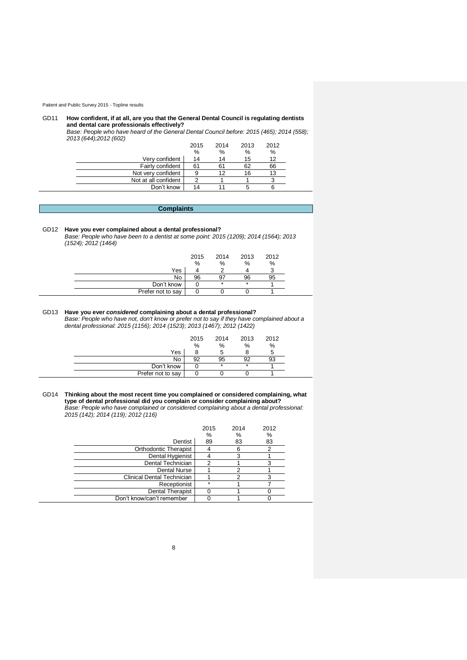#### GD11 **How confident, if at all, are you that the General Dental Council is regulating dentists and dental care professionals effectively?**

*Base: People who have heard of the General Dental Council before: 2015 (465); 2014 (558); 2013 (644);2012 (602)*

|                      | 2015 | 2014 | 2013 | 2012 |
|----------------------|------|------|------|------|
|                      | $\%$ | $\%$ | %    | %    |
| Very confident       | 14   | 14   | 15.  | 12   |
| Fairly confident     | 61   |      | 62   | 66   |
| Not very confident   | 9    |      | 16   |      |
| Not at all confident | ◠    |      |      |      |
| Don't know           |      |      |      |      |

## **Complaints**

## GD12 **Have you ever complained about a dental professional?**

*Base: People who have been to a dentist at some point: 2015 (1209); 2014 (1564); 2013 (1524); 2012 (1464)*

|                   | 2015 | 2014    | 2013    | 2012 |
|-------------------|------|---------|---------|------|
|                   | %    | %       | $\%$    | %    |
| Yes               |      |         |         |      |
| No                | 96   | 97      | 96      |      |
| Don't know        |      | $\star$ | $\star$ |      |
| Prefer not to say |      |         |         |      |

# GD13 **Have you ever** *considered* **complaining about a dental professional?**

*Base: People who have not, don't know or prefer not to say if they have complained about a dental professional: 2015 (1156); 2014 (1523); 2013 (1467); 2012 (1422)*

|                   | 2015 | 2014 | 2013    | 2012 |
|-------------------|------|------|---------|------|
|                   | %    | %    | %       | %    |
| Yes               |      |      |         |      |
| No                | 92   | 95   | ۵Q      |      |
| Don't know        |      | *    | $\star$ |      |
| Prefer not to say |      |      |         |      |

GD14 **Thinking about the most recent time you complained or considered complaining, what type of dental professional did you complain or consider complaining about?**  *Base: People who have complained or considered complaining about a dental professional: 2015 (142); 2014 (119); 2012 (116)*

|                            | 2015<br>% | 2014<br>% | 2012<br>% |
|----------------------------|-----------|-----------|-----------|
| Dentist                    | 89        | 83        | 83        |
| Orthodontic Therapist      |           |           |           |
| Dental Hygienist           |           |           |           |
| Dental Technician          |           |           |           |
| <b>Dental Nurse</b>        |           |           |           |
| Clinical Dental Technician |           |           |           |
| Receptionist               | $\star$   |           |           |
| <b>Dental Therapist</b>    |           |           |           |
| Don't know/can't remember  |           |           |           |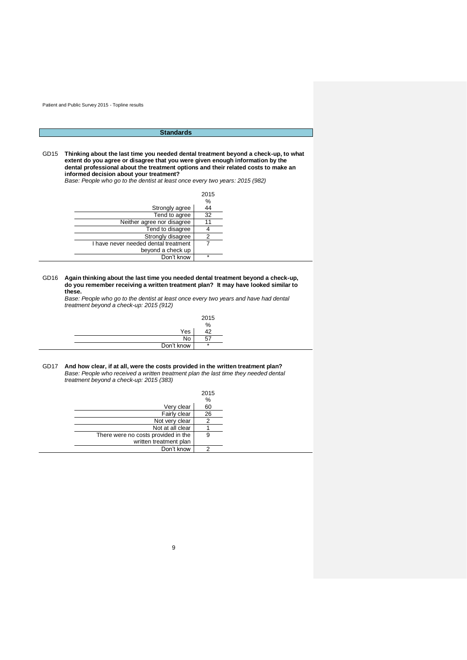# **Standards**

GD15 **Thinking about the last time you needed dental treatment beyond a check-up, to what extent do you agree or disagree that you were given enough information by the dental professional about the treatment options and their related costs to make an informed decision about your treatment?**

*Base: People who go to the dentist at least once every two years: 2015 (982)*

|                                      | 2015    |
|--------------------------------------|---------|
|                                      | %       |
| Strongly agree                       | 44      |
| Tend to agree                        | 32      |
| Neither agree nor disagree           |         |
| Tend to disagree                     |         |
| Strongly disagree                    |         |
| I have never needed dental treatment |         |
| beyond a check up                    |         |
| Don't know                           | $\star$ |

#### GD16 **Again thinking about the last time you needed dental treatment beyond a check-up, do you remember receiving a written treatment plan? It may have looked similar to these.**

*Base: People who go to the dentist at least once every two years and have had dental treatment beyond a check-up: 2015 (912)*

|            | 2015<br>$\%$   |
|------------|----------------|
| Yes        | $\overline{1}$ |
| No         | --<br>، ب      |
| Don't know | $\star$        |

#### GD17 **And how clear, if at all, were the costs provided in the written treatment plan?** *Base: People who received a written treatment plan the last time they needed dental treatment beyond a check-up: 2015 (383)*

|                                     | 2015 |
|-------------------------------------|------|
|                                     | %    |
| Very clear                          | 60   |
| Fairly clear                        | 26   |
| Not very clear                      | 2    |
| Not at all clear                    |      |
| There were no costs provided in the | 9    |
| written treatment plan              |      |
| Don't know                          | ◠    |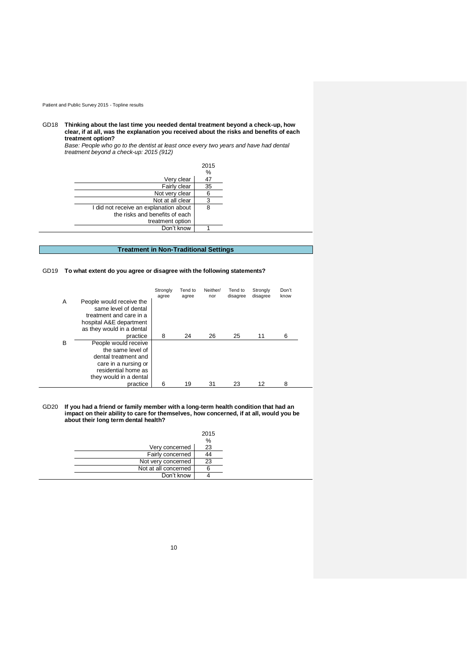GD18 **Thinking about the last time you needed dental treatment beyond a check-up, how clear, if at all, was the explanation you received about the risks and benefits of each treatment option?**

*Base: People who go to the dentist at least once every two years and have had dental treatment beyond a check-up: 2015 (912)*

|                                        | 2015 |
|----------------------------------------|------|
|                                        | %    |
| Very clear                             | 47   |
| Fairly clear                           | 35   |
| Not very clear                         | 6    |
| Not at all clear                       | 3    |
| I did not receive an explanation about | 8    |
| the risks and benefits of each         |      |
| treatment option                       |      |
| Don't know                             |      |

# **Treatment in Non-Traditional Settings**

## GD19 **To what extent do you agree or disagree with the following statements?**

|   |                                                                                                                                            | Strongly<br>agree | Tend to<br>agree | Neither/<br>nor | Tend to<br>disagree | Strongly<br>disagree | Don't<br>know |
|---|--------------------------------------------------------------------------------------------------------------------------------------------|-------------------|------------------|-----------------|---------------------|----------------------|---------------|
| A | People would receive the<br>same level of dental<br>treatment and care in a<br>hospital A&E department<br>as they would in a dental        |                   |                  |                 |                     |                      |               |
|   | practice                                                                                                                                   | 8                 | 24               | 26              | 25                  | 11                   | 6             |
| В | People would receive<br>the same level of<br>dental treatment and<br>care in a nursing or<br>residential home as<br>they would in a dental |                   |                  |                 |                     |                      |               |
|   | practice                                                                                                                                   | 6                 | 19               | 31              | 23                  | 12                   | 8             |

GD20 **If you had a friend or family member with a long-term health condition that had an impact on their ability to care for themselves, how concerned, if at all, would you be about their long term dental health?**

|                      | 2015 |
|----------------------|------|
|                      | $\%$ |
| Very concerned       | 23   |
| Fairly concerned     | 44   |
| Not very concerned   | 23   |
| Not at all concerned |      |
| Don't know           |      |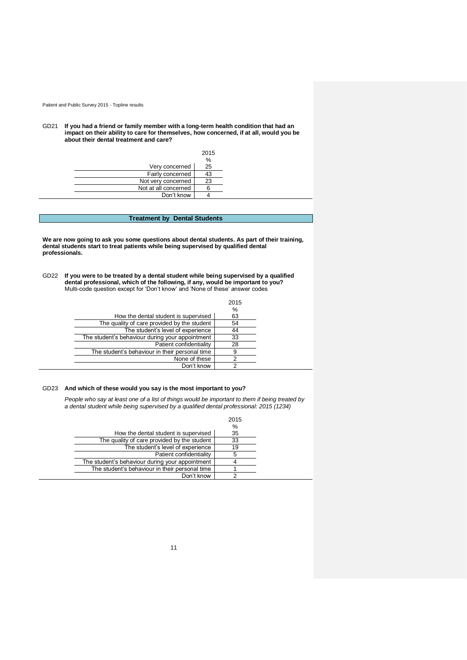GD21 **If you had a friend or family member with a long-term health condition that had an impact on their ability to care for themselves, how concerned, if at all, would you be about their dental treatment and care?**

|                      | 2015 |
|----------------------|------|
|                      | %    |
| Very concerned       | 25   |
| Fairly concerned     | 43   |
| Not very concerned   | 23   |
| Not at all concerned |      |
| Don't know           |      |

# **Treatment by Dental Students**

**We are now going to ask you some questions about dental students. As part of their training, dental students start to treat patients while being supervised by qualified dental professionals.** 

GD22 **If you were to be treated by a dental student while being supervised by a qualified dental professional, which of the following, if any, would be important to you?**  Multi-code question except for 'Don't know' and 'None of these' answer codes

|                                                 | 2015 |
|-------------------------------------------------|------|
|                                                 | %    |
| How the dental student is supervised            | 63   |
| The quality of care provided by the student     | 54   |
| The student's level of experience               | 44   |
| The student's behaviour during your appointment | 33   |
| Patient confidentiality                         | 28   |
| The student's behaviour in their personal time  | 9    |
| None of these                                   | າ    |
| Don't know                                      |      |

## GD23 **And which of these would you say is the most important to you?**

*People who say at least one of a list of things would be important to them if being treated by a dental student while being supervised by a qualified dental professional: 2015 (1234)*

|                                                 | 2015 |
|-------------------------------------------------|------|
|                                                 | %    |
| How the dental student is supervised            | 35   |
| The quality of care provided by the student     | 33   |
| The student's level of experience               | 19   |
| Patient confidentiality                         |      |
| The student's behaviour during your appointment |      |
| The student's behaviour in their personal time  |      |
| Don't know                                      |      |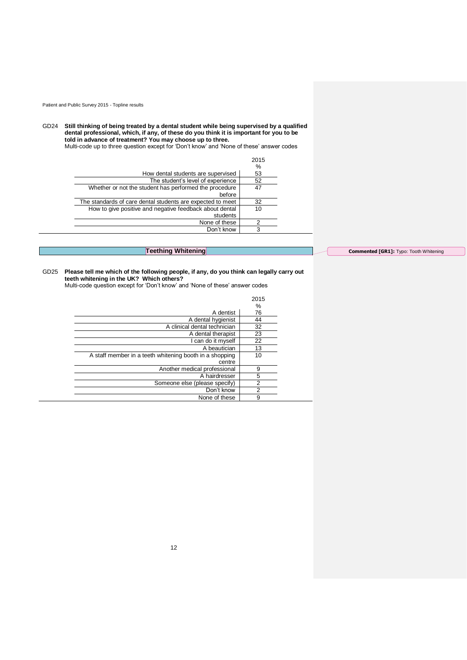GD24 **Still thinking of being treated by a dental student while being supervised by a qualified dental professional, which, if any, of these do you think it is important for you to be told in advance of treatment? You may choose up to three.** 

Multi-code up to three question except for 'Don't know' and 'None of these' answer codes

|                                                                     | 2015 |
|---------------------------------------------------------------------|------|
|                                                                     | %    |
| How dental students are supervised                                  | 53   |
| The student's level of experience                                   | 52   |
| Whether or not the student has performed the procedure<br>before    | 47   |
| The standards of care dental students are expected to meet          | 32   |
| How to give positive and negative feedback about dental<br>students | 10   |
| None of these                                                       | 2    |
| Don't know                                                          | 3    |

**Teething Whitening**

**Commented [GR1]:** Typo: Tooth Whitening

#### GD25 **Please tell me which of the following people, if any, do you think can legally carry out teeth whitening in the UK? Which others?**

Multi-code question except for 'Don't know' and 'None of these' answer codes

|                                                         | 2015 |
|---------------------------------------------------------|------|
|                                                         | %    |
| A dentist                                               | 76   |
| A dental hygienist                                      | 44   |
| A clinical dental technician                            | 32   |
| A dental therapist                                      | 23   |
| I can do it myself                                      | 22   |
| A beautician                                            | 13   |
| A staff member in a teeth whitening booth in a shopping | 10   |
| centre                                                  |      |
| Another medical professional                            | 9    |
| A hairdresser                                           | 5    |
| Someone else (please specify)                           | 2    |
| Don't know                                              | 2    |
| None of these                                           | 9    |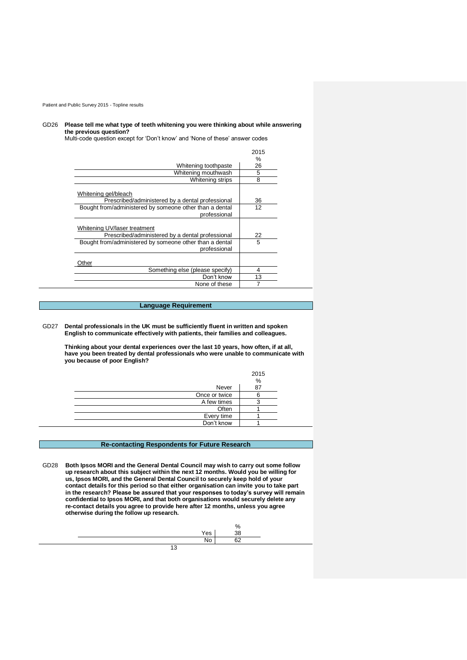#### GD26 **Please tell me what type of teeth whitening you were thinking about while answering the previous question?**

Multi-code question except for 'Don't know' and 'None of these' answer codes

|                                                                                  | 2015 |
|----------------------------------------------------------------------------------|------|
|                                                                                  | $\%$ |
| Whitening toothpaste                                                             | 26   |
| Whitening mouthwash                                                              | 5    |
| Whitening strips                                                                 | 8    |
| Whitening gel/bleach<br>Prescribed/administered by a dental professional         | 36   |
|                                                                                  |      |
| Bought from/administered by someone other than a dental<br>professional          | 12   |
| Whitening UV/laser treatment<br>Prescribed/administered by a dental professional | 22   |
| Bought from/administered by someone other than a dental<br>professional          | 5    |
| )ther                                                                            |      |
| Something else (please specify)                                                  | 4    |
| Don't know                                                                       | 13   |
| None of these                                                                    | 7    |

## **Language Requirement**

GD27 **Dental professionals in the UK must be sufficiently fluent in written and spoken English to communicate effectively with patients, their families and colleagues.**

**Thinking about your dental experiences over the last 10 years, how often, if at all, have you been treated by dental professionals who were unable to communicate with you because of poor English?** 

|               | 2015 |
|---------------|------|
|               | %    |
| Never         | 87   |
| Once or twice |      |
| A few times   |      |
| Often         |      |
| Every time    |      |
| Don't know    |      |

## **Re-contacting Respondents for Future Research**

GD28 **Both Ipsos MORI and the General Dental Council may wish to carry out some follow up research about this subject within the next 12 months. Would you be willing for us, Ipsos MORI, and the General Dental Council to securely keep hold of your contact details for this period so that either organisation can invite you to take part in the research? Please be assured that your responses to today's survey will remain confidential to Ipsos MORI, and that both organisations would securely delete any re-contact details you agree to provide here after 12 months, unless you agree otherwise during the follow up research.** 

13 % Yes 38 No 62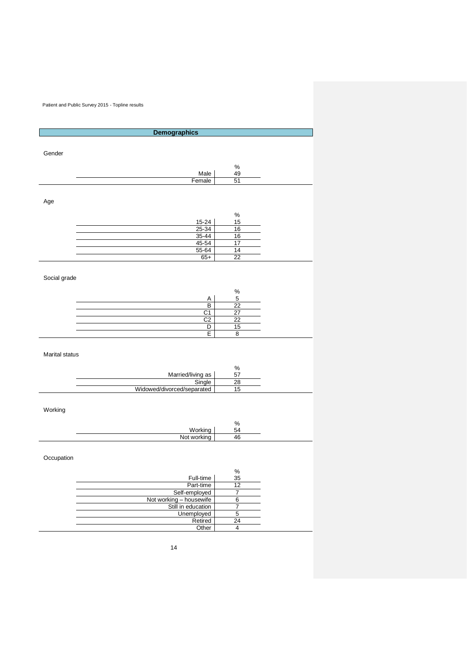| <b>Demographics</b>     |                 |
|-------------------------|-----------------|
|                         |                 |
|                         |                 |
| Gender                  |                 |
|                         | $\%$            |
| Male                    | 49              |
| Female                  | 51              |
|                         |                 |
|                         |                 |
| Age                     |                 |
|                         | $\%$            |
| 15-24                   | 15              |
| $25 - 34$               | 16              |
| 35-44                   | 16              |
| 45-54                   | 17              |
| 55-64                   | 14              |
| $65+$                   | 22              |
|                         |                 |
|                         |                 |
| Social grade            |                 |
|                         |                 |
| Α                       | $\%$<br>5       |
| $\overline{\mathsf{B}}$ | 22              |
| C <sub>1</sub>          | 27              |
| $\overline{C2}$         | $\overline{22}$ |
| $\overline{D}$          | 15              |
| Ē                       | $\bf 8$         |

# Marital status

|                            | 70 |
|----------------------------|----|
| Married/living as          |    |
| Single                     | ററ |
| Widowed/divorced/separated |    |

# Working

 $\overline{\phantom{0}}$ 

|                    | Ω,<br>70 |
|--------------------|----------|
| Workir             | -        |
| N <sub>0</sub><br> | лF<br>т. |

# Occupation

|                         | %  |
|-------------------------|----|
| Full-time               | 35 |
| Part-time               |    |
| Self-employed           |    |
| Not working - housewife |    |
| Still in education      |    |
| Unemployed              |    |
| Retired                 |    |
| Other                   |    |